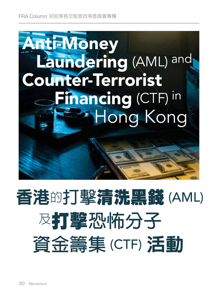

# 香港的**打擊**清洗黑錢 (AML) <sup>及</sup>打擊**恐怖分子 資金籌集** (CTF) 活動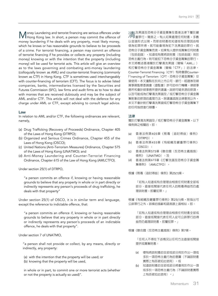Money Laundering and terrorist financing are serious offences under Hong Kong law. In short, a person may commit the offence of money laundering if he deals with any property, most likely money, which he knows or has reasonable grounds to believe to be proceeds of a crime. For terrorist financing, a person may commit an offence of terrorist financing if he provides or collects any property (including money) knowing or with the intention that the property (including money) will be used for terrorist acts. This article will give an overview as to the laws governing and combating anti-money laundering (colloquially known as AML) and counter-terrorist financing (commonly known as CTF) in Hong Kong. CTF is sometimes used interchangeably with counter-financing of terrorism (CFT). The focus is to advise listed companies, banks, intermediaries licensed by the Securities and Futures Commission (SFC), law firms and audit firms as to how to deal with monies that are received dubiously and may be the subject of AML and/or CTF. This article will not deal with the defence for any

### **Law**

In relation to AML and/or CTF, the following ordinances are relevant, namely,

charge under AML or CTF, except advising to consult legal advice.

- (a) Drug Trafficking (Recovery of Proceeds) Ordinance, Chapter 405 of the Laws of Hong Kong (DTRPO);
- (b) Organized and Serious Crimes Ordinance, Chapter 455 of the Laws of Hong Kong (OSCO);
- (c) United Nations (Anti-Terrorism Measures) Ordinance, Chapter 575 of the Laws of Hong Kong (UNATMO); and
- (d) Anti-Money Laundering and Counter-Terrorist Financing Ordinance, Chapter 615 of the Law of Hong Kong (AMLCTFO).

Under section 25(1) of DTRPO,

"a person commits an offence if, knowing or having reasonable grounds to believe that any property in whole or in part directly or indirectly represents any person's proceeds of drug trafficking, he deals with that property"

Under section 25(1) of OSCO, it is in similar term and language, except the reference to indictable offence, that:

"a person commits an offence if, knowing or having reasonable grounds to believe that any property in whole or in part directly or indirectly represents any person's proceeds of an indictable offence, he deals with that property".

Under section 7 of UNATMO,

"a person shall not provide or collect, by any means, directly or indirectly, any property:

(a) with the intention that the property will be used; or (b) knowing that the property will be used,

in whole or in part, to commit one or more terrorist acts (whether or not the property is actually so used)".

**、主三**洗黑錢及恐怖分子資金籌集在香港法律下屬於嚴<br>**/冃** 重罪行。簡言之,有人如果處理任何財產,多數 以金錢形式出現,而那些財產他知道或有合理因由相 信為犯罪所得,就可能會視為犯下洗黑錢的罪行。就 恐怖分子資金籌集而言,如果有人提供或籌集任何財產 (包括金錢),知道或有意將該財產(包括金錢)用於 恐怖主義行為,則可能犯下恐怖分子資金籌集的罪行。 本文將概述香港關於打擊清洗黑錢(簡稱「AML」) 和打擊恐怖分子資金籌集(簡稱「CTF」)的法律。 Counter-Terrorist Financing(CTF)有時會跟Counter-Financing of Terrorism (CFT; 恐怖分子資金籌集) 交 替使用。本文重點在於向上市公司、銀行、經證券及期 貨事務監察委員會(證監會)許可的中介機構、律師事 務所和會計師事務所提供建議,說明可疑來源的款項, 以及可能成為打擊清洗黑錢及/或打擊恐怖分子資金籌 集對象的款項的處理方法。除建議諮詢法律意見以外, 本文不會針對打擊清洗黑錢或打擊恐怖分子資金籌集下 的任何指控進行辯護。

## **法律**

關於打擊清洗黑錢及/或打擊恐怖分子資金籌集,以下 條例與之相關的,即:

- (a) 香港法例第405章《販毒(追討得益)條例》 (DTRPO) ;
- (b) 香港法例第455章《有組織及嚴重罪行條例》  $(OSCO)$  ;
- (c) 香港法例第575章《聯合國(反恐怖主義措施) 條例》(UNATMO); 及
- (d) 香港法例第615章《打擊洗錢及恐怖分子資金籌 集條例》(AMLCTFO)。

根據《販毒(追討得益)條例》第25(1)條,

「如有人知道或有合理理由相信任何財產全部或 部分、直接或間接代表任何人的販毒得益而仍處 理該財產,即屬犯罪。」

根據《有組織及嚴重罪行條例》第25(1)條,除指出可 公訴罪行之外,該條的措辭和語言跟上面相似,即:

> 「如有人知道或有合理理由相信任何財產全部或 部分、直接或間接代表任何人從可公訴罪行的得 益而仍處理該財產,即屬犯罪。」

根據《聯合國(反恐怖主義措施)條例》第7條,

「任何人不得在下述情況以任何方法直接或間接 提供或籌集財產:

- (a) 懷有將該財產的全部或部分用於作出一項或 多於一項恐怖主義行為的意圖(不論該財產 實際上有否被如此使用);或
- (b) 知道該財產的全部或部分將會用於作出一項 或多於一項恐怖主義行為(不論該財產實際 上有否被如此使用)。」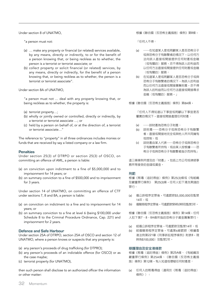Under section 8 of UNATMO,

"a person must not:

- (a) … make any property or financial (or related) services available, by any means, directly or indirectly, to or for the benefit of a person knowing that, or being reckless as to whether, the person is a terrorist or terrorist associate; or
- (b) collect property or solicit financial (or related) services, by any means, directly or indirectly, for the benefit of a person knowing that, or being reckless as to whether, the person is a terrorist or terrorist associate".

Under section 8A of UNATMO,

"a person must not … deal with any property knowing that, or being reckless as to whether, the property is:

- (a) terrorist property…;
- (b) wholly or jointly owned or controlled, directly or indirectly, by a terrorist or terrorist associate …; or
- (c) held by a person on behalf of, or at the direction of, a terrorist or terrorist associate…"

The reference to "property" in all three ordinances includes monies or funds that are received by say a listed company or a law firm.

## **Penalties**

Under section 25(3) of DTRPO or section 25(3) of OSCO, on committing an offence of AML, a person is liable:

- (a) on conviction upon indictment to a fine of \$5,000,000 and to imprisonment for 14 years; or
- (b) on summary conviction to a fine of \$500,000 and to imprisonment for 3 years.

Under section 14 of UNATMO, on committing an offence of CTF under sections 7, 8 and 8A, a person is liable:

- (a) on conviction on indictment to a fine and to imprisonment for 14 years; or
- (b) on summary conviction to a fine at level 6 (being \$100,000 under Schedule 8 to the Criminal Procedure Ordinance, Cap. 221) and imprisonment for 2 years.

## **Defence and Safe Harbour**

Under section 25A of DTRPO, section 25A of OSCO and section 12 of UNATMO, where a person knows or suspects that any property is:

- (a) any person's proceeds of drug trafficking (for DTPRO);
- (b) any person's proceeds of an indictable offence (for OSCO) or as the case maybe;
- (c) terrorist property (for UNATMO),

then such person shall disclose to an authorized officer the information or other matter:

根據《聯合國(反恐怖主義措施)條例》第8條,

「任何人不得:

- (a) ……在知道某人是或罔顧某人是否恐怖分子 或與恐怖分子有聯繫者的情況下,以任何方 法向該人直接或間接提供任何財產或金融 (或有關的)服務,亦不得為該人的利益而 以任何方法直接或間接提供任何財產或金融 (或有關的)服務;
- (b) 在知道某人是或罔顧某人是否恐怖分子或與 恐怖分子有聯繫者的情況下,為該人的利益 而以任何方法直接或間接籌集財產,亦不得 為該人的利益而以任何方法直接或間接尋求 金融(或有關的)服務。」

根據《聯合國(反恐怖主義措施)條例》第8A條,

「任何人不得知道以下事宜或罔顧以下事宜是否 屬實的情況下,直接或間接處理任何財產:

- (a) ……該財產為恐怖分子財產;
- (b) 該財產……恐怖分子或與恐怖分子有聯繫 者,直接或間接地完全或與他人所共同擁有 或控制;或
- (c) 該財產由某人代表……恐怖分子或與恐怖分 子有聯繫者所持有;或由某人按根據……恐 怖分子或與恐怖分子有聯繫者指示而持有」

這三條條例所提及的「財產」,包括上市公司或律師事 務所等接受的金錢或資金。

### **刑罰**

根據《販毒(追討得益)條例》第25(3)條或《有組織 及嚴重罪行條例》 第25(3)條,任何人犯下清洗黑錢的 罪行:

- (a) 循公訴程序定罪後,可處罰款\$5,000,000及監禁 14年;或
- (b) 循簡易程序定罪後,可處罰款\$500,000及監禁3年。

根據《聯合國(反恐怖主義措施)條例》第14條,任何 人犯下第7、8、8A條所指的恐怖分子資金籌集罪行:

- (a) 經循公訴程序定罪後,可處罰款及監禁14年;或
- (b) 經循簡易程序定罪後,可處第6級罰款(根據香 港法例第221章《刑事訴訟程序條例》附表8,現 時為\$100,000)及監禁2年。

### **辯護理由及安全港條款**

根據《販毒(追討得益)條例》第25A條、《有組織及 嚴重罪行條例》第25A條、《聯合國(反恐怖主義措 施)條例》第12條,有人知道或懷疑任何財產是:

(a) 任何人的販毒得益(適用於《販毒(追討得益) 條例》);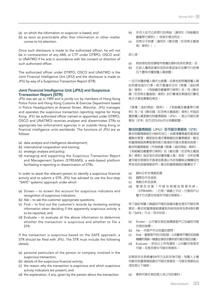- (a) on which the information or suspicion is based; and
- (b) as soon as practicable after that information or other matter comes to his attention.

Once such disclosure is made to the authorized officer, he will not be in contravention of any AML or CTF under DTRPO, OSCO and/ or UNATMO if he acts in accordance with the consent or direction of such authorized officer.

The authorized officer under DTRPO, OSCO and UNATMO is the Joint Financial Intelligence Unit (JFIU) and the disclosure is made to JFIU by way of a Suspicious Transaction Report (STR).

# **Joint Financial Intelligence Unit (JFIU) and Suspicious Transaction Report (STR)**

JFIU was set up in 1989 and is jointly run by members of Hong Kong Police Force and Hong Kong Customs & Exercise Department based in Police Headquarters at Arsenal Street, Wanchai. JFIU manages and operates the suspicious transaction reporting regime for Hong Kong. JFIU (as authorized officer named or appointed under DTRPO, OSCO and UNATMO) receives analyses and disseminates STRs to appropriate law enforcement agencies in or outside Hong Kong or financial intelligence units worldwide. The functions of JFIU are as follows:

- (a) data analysis and intelligence development;
- (b) international cooperation and training;
- (c) strategic analysis and policy;
- (d) managing and supporting the Suspicious Transaction Report and Management System (STREAMS), a web-based platform facilitating e-reporting or dissemination of STRs.

In order to assist the relevant person to identify a suspicious financial activity and to submit a STR, JFIU has advised to use the four-step "SAFE" systemic approach under which:

- (a) Screen to screen the account for suspicious indicators and recognition of suspicious indicators;
- (b) Ask to ask the customer appropriate questions;
- (c) Find to find out the customer's records by reviewing existing information when deciding if the apparently suspicious activity is to be reported; and
- (d) Evaluate to evaluate all the above information to determine whether the transaction is suspicious and whether to file a STR.

If the transaction is suspicious based on the SAFE approach, a STR should be filed with JFIU. The STR must include the following details:

- (a) personal particulars of the person or company involved in the suspicious transaction;
- (b) details of the suspicious financial activity;
- (c) the reason why the transaction is suspicious and which suspicious activity indicators are present; and
- (d) the explanation, if any, given by the person about the transaction.
- (b) 任何人從可公訴罪行的得益(適用於《有組織及 嚴重罪行條例》)或視乎情況而定;
- (c) 恐怖分子財產(適用於《聯合國(反恐怖主義措 施)條例》),

該人須:

- (a) 將該項知悉或懷疑所根據的資料或其他事宜;及
- (b) 在該人獲悉該資料或其他事宜後在切實可行的情 況下盡快向獲授權人員披露。

一旦已向獲授權人員作出披露,如果他按照獲授權人員 的同意或指示行事,就不會違反任何《販毒(追討得 益)條例》、《有組織及嚴重罪行條例》及/或《聯合 國(反恐怖主義措施)條例》的打擊清洗黑錢或打擊恐 怖分子資金籌集的規定。

《販毒(追討得益)條例》、《有組織及嚴重罪行條 例》及/或《聯合國(反恐怖主義措施)條例》所指的 獲授權人員是聯合財富情報組(JFIU),是以可疑交易 報告(STR)的方式向JFIU作出有關披露。

**聯合財富情報組(**JFIU**)及可疑交易報告(**STR**)**

聯合財富情報組在1989年成立,由香港警務處和香港海 關聯合管理,總部設在灣仔軍器廠街的警察總部。聯合 財富情報組負責管理和執行香港的可疑交易報告制度。 聯合財富情報組(作為根據《販毒(追討得益)條例》, 《有組織及嚴重罪行條例》及《聯合國(反恐怖主義措 施)條例》指定或任命的獲授權人員)收取、分析及傳 遞可疑交易報告予香港或香港以外的有關執法機構或世 界各地的金融情報部門。聯合財富情報組的職責如下:

- (a) 資料分析及情報拓展
- (b) 國際合作及培訓
- (c) 策略分析及政策
- (d) 管理及支援「可疑交易報告管理系統」 (STREAMS),它是一個網上平台,方便用戶以 電子方式提交或發布可疑交易報告。

為了協助有關人員識別可疑的金融活動並提交可疑交易 報告,聯合財富情報組建議有系統地採用包含4個步驟 的「SAFE」方法,其中包括:

- (a) Screen 以可疑交易的指標篩查戶口及識別可疑 交易的指標;
- (b) Ask—向客戶作出恰當的提問;
- (c) Find—翻查客戶的已知紀錄,以判斷客戶應否如金融 機構所預期一樣會從事該宗看來是可疑交易的活動;
- (d) Evaluate 評估以上所有資訊,以判斷交易是否 可疑,及是否提交可疑交易報告。

如果該宗交易根據SAFE方法評定為可疑,有關人士應 向聯合財富情報組遞交可疑交易報告。可疑交易報告必 須包含以下細節:

(a) 參與可疑交易的個人或公司的資料;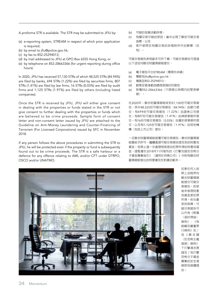A proforma STR is available. The STR may be submitted to JFIU by:

- (a) e-reporting system, STREAM in respect of which prior application is required;
- (b) by email to jfiu@police.gov.hk;
- (c) by fax to 852-25294013;
- (d) by mail addressed to JFIU at GPO Box 6555 Hong Kong; or
- (e) by telephone on 852-28663366 (for urgent reporting during office hours).

In 2020, JFIU has received 57,130 STRs of which 48,525 STRs (84.94%) are filed by banks, 694 STRs (1.22%) are filed by securities firms, 807 STRs (1.41%) are filed by law firms, 16 STRs (0.03%) are filed by audit firms and 1,125 STRs (1.97%) are filed by others (including listed companies).

Once the STR is received by JFIU, JFIU will either give consent in dealing with the properties or funds stated in the STR or not give consent to further dealing with the properties or funds which are believed to be crime proceeds. Sample form of consent letter and non-consent letter issued by JFIU are attached to the Guideline on Anti-Money Laundering and Counter-Financing of Terrorism (For Licensed Corporations) issued by SFC in November 2018.

If any person follows the above procedures in submitting the STR to JFIU, he will be protected even if the property or fund is subsequently found out to be crime proceeds. The STR is a safe harbour or a defence for any offence relating to AML and/or CFT under DTRPO, OSCO and/or UNATMO.

- (b) 可疑的金融活動詳情;
- (c) 有關交易可疑的原因,當中出現了哪些可疑交易 指標;以及
- (d) 客戶被問及有關交易的詳情時所作的解釋(如 有)。

可疑交易報告表格副本可供下載。可疑交易報告可透過 以下途徑向聯合財富情報組提交:

- (a) 電子報告平台STREAM(需預先申請)
- (b) 電郵至jfiu@police.gov.hk;
- (c) 傳真至852-25294013;
- (d) 郵寄至香港郵政總局信箱6555號或
- (e) 致電852-28663366(只限辦公時間內的緊急舉 報)。

在2020年,聯合財富情報組收到57,130份可疑交易報 告,其中48,525份可疑交易報告(84.94%)由銀行提 交,有694份可疑交易報告(1.22%)由證券公司提 交,有807份可疑交易報告(1.41%)由律師事務所提 交,有16份可疑交易報告(0.03%)由會計師事務所提 交,以及有1,125份可疑交易報告(1.97%)由其他機 構(包括上市公司)提交。

一旦聯合財富情報組接獲可疑交易報告,聯合財富情報 組會給予許可,繼續處理可疑交易報告提及到的財產或 資金,或禁止進一步處理相信是由犯罪所得的財產或資 金。證監會於2018年11月發布的《打擊洗錢及恐怖分 子資金籌集指引》(適用於持牌公司)》中附有聯合財 富情報組發出的同意書及反對書的範本。



如果任何人按 照上述程序向 聯合財富情報 組提交可疑交 易報告,即使 後來發現財產 或資金是犯罪 所得,他也會 受到保障。可 疑交易報告可 以作為《販毒 (追討得益) 條例》、《有 組織及嚴重罪 行條例》及/ 或《聯合國 (反恐怖主義 措施)條例》 下打擊清洗黑 錢及/或打擊 恐怖分子資金 籌集的安全港 條款或辯護理 由。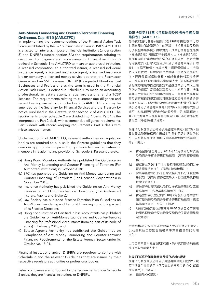# **Anti-Money Laundering and Counter-Terrorist Financing Ordinance, Cap. 615 (AMLCTFO)**

In implementing the recommendations of the Financial Action Task Force (established by the G-7 Summit held in Paris in 1989), AMLCTFO is enacted to, inter alia, impose on financial institutions (under section 5) and DNFBPs (under section 5A) the requirements relating to customer due diligence and record-keeping. Financial institution is defined in Schedule 1 to AMLCTFO to mean an authorized institution, a licensed corporation, an authorized insurer, a licensed individual insurance agent, a licensed insurance agent, a licensed insurance broker company, a licensed money service operator, the Postmaster General and an SVF licensee. DNFBP (Designated Non-Financial Businesses and Professions as the term is used in the Financial Action Task Force) is defined in Schedule 1 to mean an accounting professional, an estate agent, a legal professional and a TCSP licensee. The requirements relating to customer due diligence and record keeping are set out in Schedule 2 to AMLCTFO and may be amended by the Secretary for Financial Services and the Treasury by notice published in the Gazette under section 2 of AMLCTFO. The requirements under Schedule 2 are divided into 4 parts. Part 1 is the interpretation. Part 2 deals with customer due diligence requirements. Part 3 deals with record-keeping requirements. Part 4 deals with miscellaneous matters.

Under section 7 of AMLCTFO, relevant authorities or regulatory bodies are required to publish in the Gazette guidelines that they consider appropriate for providing guidance to their regulatees or members in relation to any provision of Schedule 2. Pursuant thereto,

- (a) Hong Kong Monetary Authority has published the Guidance on Anti-Money Laundering and Counter-Financing of Terrorism (For Authorized Institutions) in October 2018;
- (b) SFC has published the Guideline on Anti-Money Laundering and Counter-Financing of Terrorism (For Licensed Corporations) in November 2018;
- (c) Insurance Authority has published the Guideline on Anti-Money Laundering and Counter-Terrorist Financing (For Authorized Insurers, Agents and Brokers);
- (d) Law Society has published Practice Direction P on Guidelines on Anti-Money Laundering and Terrorist Financing constituting a part of its Practice Directions;
- (e) Hong Kong Institute of Certified Public Accountants has published the Guidelines on Anti-Money Laundering and Counter-Terrorist Financing for Professional Accountants (forming part of its code of ethics) in February 2018; and
- (f) Estate Agents Authority has published the Guidelines on Compliance of Anti-Money Laundering and Counter-Terrorist Financing Requirements for the Estate Agency Sector under its Circular No. 18-01.

Financial institutions and/or DNFBPs are required to comply with Schedule 2 and the relevant Guidelines that are issued by their respective regulatory authorities or professional bodies.

Listed companies are not bound by the requirements under Schedule 2 unless they are financial institutions or DNFBPs.

# **香港法例第**615**章《打擊洗錢及恐怖分子資金籌 集條例》**(AMLCTFO)

為落實財務行動特別組織(在1989年由巴黎舉行的 七國集團首腦會議建立)的建議,《打擊洗錢及恐怖 分子資金籌集條例》得以實施,其中包括對金融機構 (根據第5條)和指定非金融業人士(根據第5A條) 施加有關客戶盡職調查和備存紀錄的規定。金融機構 的定義載於《打擊洗錢及恐怖分子資金籌集條例》附 表1,指認可機構、持牌法團、獲授權保險人、持牌 個人保險代理、持牌保險代理機構、持牌保險經紀公 司、持牌金錢服務經營者、郵政署署長和工具持牌 人。在附表1列明的指定非金融業人士(在財務行動特 別組織的建議中描述為指定非金融企業及行業人士類 別的人的縮寫)是指會計專業人士、地產代理、法律 專業人士及信託或公司服務持牌人。有關客戶盡職審 查及備存紀錄的規定載於打擊洗錢及恐怖分子資金籌 集條例附表2,財經事務及庫務局局長可根據《打擊洗 錢及恐怖分子資金籌集條例》第2條,以刊憲形式作出 修訂。附表2載列的要求分為4個部分:第1部是釋義; 第2部是對客戶作盡職審查的規定;第3部是備存紀錄 的規定;第4部是雜項條文。

根據《打擊洗錢及恐怖分子資金籌集條例》第7條,有 關當局或監管機構應在憲報上刊登他們認為適當的指 引,以便就附表2的任何條文向其監管對象或成員提供 指引。據此,

- (a) 香港金融管理局已於2018年10月發佈打擊洗錢 及恐怖分子資金籌集行為指引(適用於獲授權機 構)。
- (b) 證監會已於2018年11月發佈打擊洗錢及恐怖分子 資金籌集行為指引(適用於持牌機構)。
- (c) 保險業監管局公佈了打擊洗錢及恐怖分子資金籌 集指引(適用於獲授權保險人,持牌保險代理和 持牌保險經紀)。
- (d) 律師會將打擊洗錢及恐怖分子資金籌集部分放在 實務指示P,作為其實務指示的一部分。
- (e) 香港會計師公會已於2018年2月發布了專業會計 師打擊洗錢及恐怖分子資金籌集行為指引(構成 其倫理準則的一部分);以及
- (f) 地產代理監管局已在其第18-01號通告發布有關 地產代理業遵守反洗錢及反恐怖分子資金籌集規 定的指引。

金融機構及/或指定非金融業人士必須遵守附表2, 以及由其各自的監管機構或專業團體發布的相關 指引。

上市公司不受附表2的規定約束,除非它們是金融機構 或指定非金融業人士。

# **附表**2**下就客戶作盡職審查及備存紀錄的規定**

根據《打擊洗錢及恐怖分子資金籌集條例》附表2,規 定下列客戶盡職調查(或市場上通常使用的KYC[認識 你的客戶])的要求。

(a) 甚麼是KYC措施;